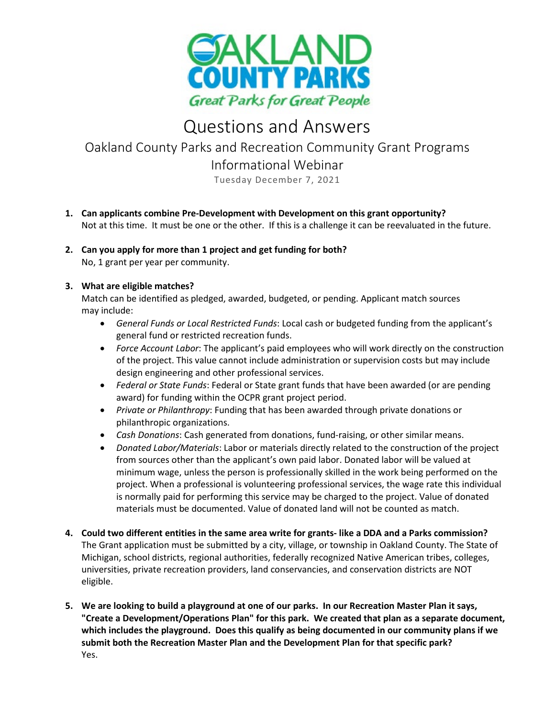

# Questions and Answers

# Oakland County Parks and Recreation Community Grant Programs Informational Webinar

Tuesday December 7, 2021

- **1. Can applicants combine Pre-Development with Development on this grant opportunity?** Not at this time. It must be one or the other. If this is a challenge it can be reevaluated in the future.
- **2. Can you apply for more than 1 project and get funding for both?** No, 1 grant per year per community.

## **3. What are eligible matches?**

Match can be identified as pledged, awarded, budgeted, or pending. Applicant match sources may include:

- *General Funds or Local Restricted Funds*: Local cash or budgeted funding from the applicant's general fund or restricted recreation funds.
- *Force Account Labor*: The applicant's paid employees who will work directly on the construction of the project. This value cannot include administration or supervision costs but may include design engineering and other professional services.
- *Federal or State Funds*: Federal or State grant funds that have been awarded (or are pending award) for funding within the OCPR grant project period.
- *Private or Philanthropy*: Funding that has been awarded through private donations or philanthropic organizations.
- *Cash Donations*: Cash generated from donations, fund-raising, or other similar means.
- *Donated Labor/Materials*: Labor or materials directly related to the construction of the project from sources other than the applicant's own paid labor. Donated labor will be valued at minimum wage, unless the person is professionally skilled in the work being performed on the project. When a professional is volunteering professional services, the wage rate this individual is normally paid for performing this service may be charged to the project. Value of donated materials must be documented. Value of donated land will not be counted as match.
- **4. Could two different entities in the same area write for grants- like a DDA and a Parks commission?** The Grant application must be submitted by a city, village, or township in Oakland County. The State of Michigan, school districts, regional authorities, federally recognized Native American tribes, colleges, universities, private recreation providers, land conservancies, and conservation districts are NOT eligible.
- **5. We are looking to build a playground at one of our parks. In our Recreation Master Plan it says, "Create a Development/Operations Plan" for this park. We created that plan as a separate document, which includes the playground. Does this qualify as being documented in our community plans if we submit both the Recreation Master Plan and the Development Plan for that specific park?** Yes.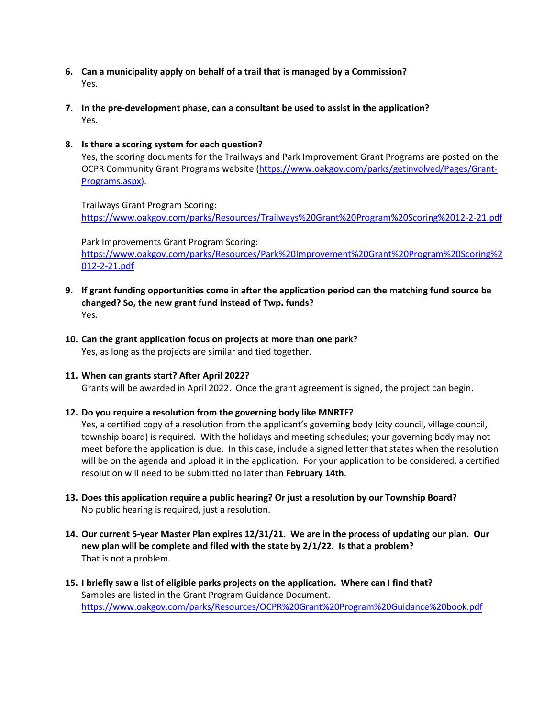- **6. Can a municipality apply on behalf of a trail that is managed by a Commission?** Yes.
- **7. In the pre-development phase, can a consultant be used to assist in the application?** Yes.

#### **8. Is there a scoring system for each question?**

Yes, the scoring documents for the Trailways and Park Improvement Grant Programs are posted on the OCPR Community Grant Programs website [\(https://www.oakgov.com/parks/getinvolved/Pages/Grant-](https://www.oakgov.com/parks/getinvolved/Pages/Grant-Programs.aspx)[Programs.aspx\)](https://www.oakgov.com/parks/getinvolved/Pages/Grant-Programs.aspx).

Trailways Grant Program Scoring: <https://www.oakgov.com/parks/Resources/Trailways%20Grant%20Program%20Scoring%2012-2-21.pdf>

Park Improvements Grant Program Scoring:

[https://www.oakgov.com/parks/Resources/Park%20Improvement%20Grant%20Program%20Scoring%2](https://www.oakgov.com/parks/Resources/Park%20Improvement%20Grant%20Program%20Scoring%2012-2-21.pdf) [012-2-21.pdf](https://www.oakgov.com/parks/Resources/Park%20Improvement%20Grant%20Program%20Scoring%2012-2-21.pdf)

- **9. If grant funding opportunities come in after the application period can the matching fund source be changed? So, the new grant fund instead of Twp. funds?** Yes.
- **10. Can the grant application focus on projects at more than one park?** Yes, as long as the projects are similar and tied together.

### **11. When can grants start? After April 2022?**

Grants will be awarded in April 2022. Once the grant agreement is signed, the project can begin.

### **12. Do you require a resolution from the governing body like MNRTF?**

Yes, a certified copy of a resolution from the applicant's governing body (city council, village council, township board) is required. With the holidays and meeting schedules; your governing body may not meet before the application is due. In this case, include a signed letter that states when the resolution will be on the agenda and upload it in the application. For your application to be considered, a certified resolution will need to be submitted no later than **February 14th**.

- **13. Does this application require a public hearing? Or just a resolution by our Township Board?** No public hearing is required, just a resolution.
- **14. Our current 5-year Master Plan expires 12/31/21. We are in the process of updating our plan. Our new plan will be complete and filed with the state by 2/1/22. Is that a problem?** That is not a problem.
- **15. I briefly saw a list of eligible parks projects on the application. Where can I find that?** Samples are listed in the Grant Program Guidance Document. <https://www.oakgov.com/parks/Resources/OCPR%20Grant%20Program%20Guidance%20book.pdf>